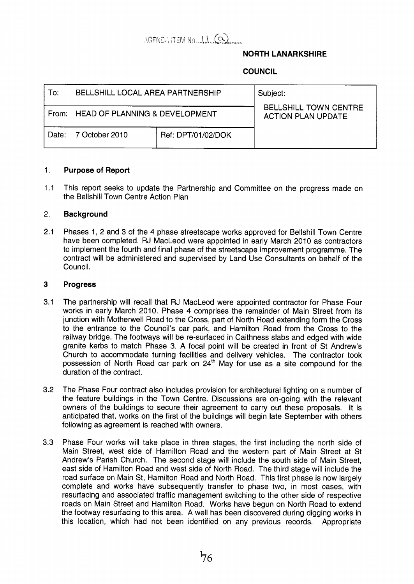# $AGENDA$  item No.  $11.62$

## **NORTH LANARKSHIRE**

# **COUNCIL**

| To:   | BELLSHILL LOCAL AREA PARTNERSHIP |                    | Subject:<br><b>BELLSHILL TOWN CENTRE</b><br><b>ACTION PLAN UPDATE</b> |
|-------|----------------------------------|--------------------|-----------------------------------------------------------------------|
| From: | HEAD OF PLANNING & DEVELOPMENT   |                    |                                                                       |
| Date: | 7 October 2010                   | Ref: DPT/01/02/DOK |                                                                       |

#### 1. **Purpose of Report**

1.1 This report seeks to update the Partnership and Committee on the progress made on the Bellshill Town Centre Action Plan

#### 2. **Background**

2.1 Phases 1, 2 and **3** of the 4 phase streetscape works approved for Bellshill Town Centre have been completed. RJ MacLeod were appointed in early March 2010 as contractors to implement the fourth and final phase of the streetscape improvement programme. The contract will be administered and supervised by Land Use Consultants on behalf of the Council.

#### **3 Progress**

- 3.1 The partnership will recall that RJ MacLeod were appointed contractor for Phase Four works in early March 2010. Phase 4 comprises the remainder of Main Street from its junction with Motherwell Road to the Cross, part of North Road extending form the Cross to the entrance to the Council's car park, and Hamilton Road from the Cross to the railway bridge. The footways will be re-surfaced in Caithness slabs and edged with wide granite kerbs to match Phase 3. A focal point will be created in front of St Andrew's Church to accommodate turning facilities and delivery vehicles. The contractor took possession of North Road car park on  $24<sup>th</sup>$  May for use as a site compound for the duration of the contract.
- 3.2 The Phase Four contract also includes provision for architectural lighting on a number of the feature buildings in the Town Centre. Discussions are on-going with the relevant owners of the buildings to secure their agreement to carry out these proposals. It is anticipated that, works on the first of the buildings will begin late September with others following as agreement is reached with owners.
- 3.3 Phase Four works will take place in three stages, the first including the north side of Main Street, west side of Hamilton Road and the western part of Main Street at St Andrew's Parish Church. The second stage will include the south side of Main Street, east side of Hamilton Road and west side of North Road. The third stage will include the road surface on Main St, Hamilton Road and North Road. This first phase is now largely complete and works have subsequently transfer to phase two, in most cases, with resurfacing and associated traffic management switching to the other side of respective roads on Main Street and Hamilton Road. Works have begun on North Road to extend the footway resurfacing to this area. A well has been discovered during digging works in this location, which had not been identified on any previous records. Appropriate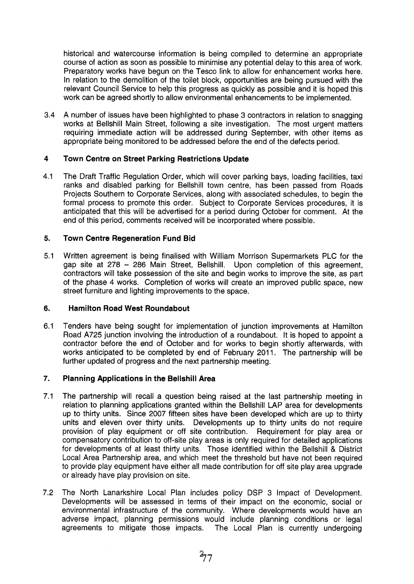historical and watercourse information is being compiled to determine an appropriate course of action as soon as possible to minimise any potential delay to this area of work. Preparatory works have begun on the Tesco link to allow for enhancement works here. In relation to the demolition of the toilet block, opportunities are being pursued with the relevant Council Service to help this progress as quickly as possible and it is hoped this work can be agreed shortly to allow environmental enhancements to be implemented.

3.4 A number of issues have been highlighted to phase 3 contractors in relation to snagging works at Bellshill Main Street, following a site investigation. The most urgent matters requiring immediate action will be addressed during September, with other items as appropriate being monitored to be addressed before the end of the defects period.

#### **4 Town Centre on Street Parking Restrictions Update**

4.1 The Draft Traffic Regulation Order, which will cover parking bays, loading facilities, taxi ranks and disabled parking for Bellshill town centre, has been passed from Roads Projects Southern to Corporate Services, along with associated schedules, to begin the formal process to promote this order. Subject to Corporate Services procedures, it is anticipated that this will be advertised for a period during October for comment. At the end of this period, comments received will be incorporated where possible.

#### **5. Town Centre Regeneration Fund Bid**

5.1 Written agreement is being finalised with William Morrison Supermarkets PLC for the gap site at 278 - 286 Main Street, Bellshill. Upon completion of this agreement, contractors will take possession of the site and begin works to improve the site, as part of the phase 4 works. Completion of works will create an improved public space, new street furniture and lighting improvements to the space.

#### **6. Hamilton Road West Roundabout**

6.1 Tenders have being sought for implementation of junction improvements at Hamilton Road A725 junction involving the introduction of a roundabout. It is hoped to appoint a contractor before the end of October and for works to begin shortly afterwards, with works anticipated to be completed by end of February 2011. The partnership will be further updated of progress and the next partnership meeting.

#### *7.*  **Planning Applications in the Bellshill Area**

- 7.1 The partnership will recall a question being raised at the last partnership meeting in relation to planning applications granted within the Bellshill LAP area for developments up to thirty units. Since 2007 fifteen sites have been developed which are up to thirty units and eleven over thirty units. Developments up to thirty units do not require provision of play equipment or off site contribution. Requirement for play area or compensatory contribution to off-site play areas is only required for detailed applications for developments of at least thirty units. Those identified within the Bellshill & District Local Area Partnership area, and which meet the threshold but have not been required to provide play equipment have either all made contribution for off site play area upgrade or already have play provision on site.
- 7.2 The North Lanarkshire Local Plan includes policy DSP 3 Impact of Development. Developments will be assessed in terms of their impact on the economic, social or environmental infrastructure of the community. Where developments would have an adverse impact, planning permissions would include planning conditions or legal agreements to mitigate those impacts. The Local Plan is currently undergoing